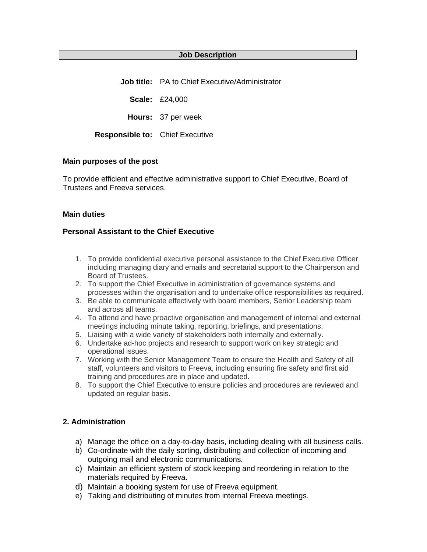## **Job Description**

**Job title:** PA to Chief Executive/Administrator

**Scale:** £24,000

**Hours:** 37 per week

**Responsible to:** Chief Executive

#### **Main purposes of the post**

To provide efficient and effective administrative support to Chief Executive, Board of Trustees and Freeva services.

## **Main duties**

## **Personal Assistant to the Chief Executive**

- 1. To provide confidential executive personal assistance to the Chief Executive Officer including managing diary and emails and secretarial support to the Chairperson and Board of Trustees.
- 2. To support the Chief Executive in administration of governance systems and processes within the organisation and to undertake office responsibilities as required.
- 3. Be able to communicate effectively with board members, Senior Leadership team and across all teams.
- 4. To attend and have proactive organisation and management of internal and external meetings including minute taking, reporting, briefings, and presentations.
- 5. Liaising with a wide variety of stakeholders both internally and externally.
- 6. Undertake ad-hoc projects and research to support work on key strategic and operational issues.
- 7. Working with the Senior Management Team to ensure the Health and Safety of all staff, volunteers and visitors to Freeva, including ensuring fire safety and first aid training and procedures are in place and updated.
- 8. To support the Chief Executive to ensure policies and procedures are reviewed and updated on regular basis.

## **2. Administration**

- a) Manage the office on a day-to-day basis, including dealing with all business calls.
- b) Co-ordinate with the daily sorting, distributing and collection of incoming and outgoing mail and electronic communications.
- c) Maintain an efficient system of stock keeping and reordering in relation to the materials required by Freeva.
- d) Maintain a booking system for use of Freeva equipment.
- e) Taking and distributing of minutes from internal Freeva meetings.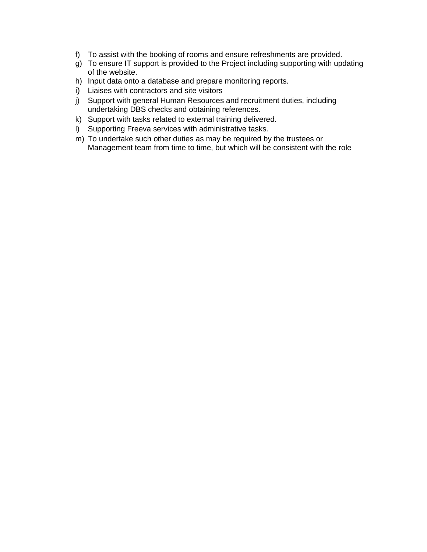- f) To assist with the booking of rooms and ensure refreshments are provided.
- g) To ensure IT support is provided to the Project including supporting with updating of the website.
- h) Input data onto a database and prepare monitoring reports.
- i) Liaises with contractors and site visitors
- j) Support with general Human Resources and recruitment duties, including undertaking DBS checks and obtaining references.
- k) Support with tasks related to external training delivered.
- l) Supporting Freeva services with administrative tasks.
- m) To undertake such other duties as may be required by the trustees or Management team from time to time, but which will be consistent with the role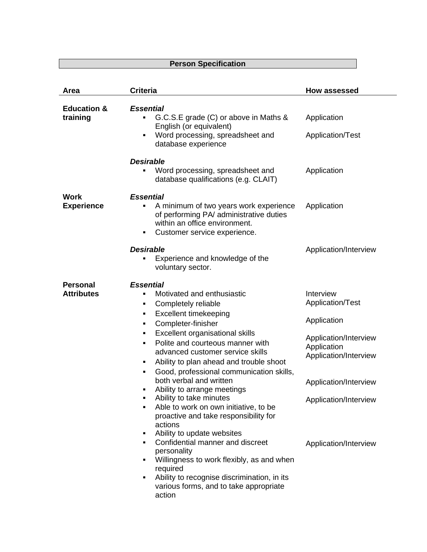# **Person Specification**

| Area                                 | <b>Criteria</b>                                                                                                                                                                                                                                                                                                                                                                                                                                                                                                                                                                                                                                                                                                                                                                                                | <b>How assessed</b>                                                                                                                                                                      |
|--------------------------------------|----------------------------------------------------------------------------------------------------------------------------------------------------------------------------------------------------------------------------------------------------------------------------------------------------------------------------------------------------------------------------------------------------------------------------------------------------------------------------------------------------------------------------------------------------------------------------------------------------------------------------------------------------------------------------------------------------------------------------------------------------------------------------------------------------------------|------------------------------------------------------------------------------------------------------------------------------------------------------------------------------------------|
| <b>Education &amp;</b><br>training   | <b>Essential</b><br>G.C.S.E grade (C) or above in Maths &<br>English (or equivalent)<br>Word processing, spreadsheet and<br>٠<br>database experience                                                                                                                                                                                                                                                                                                                                                                                                                                                                                                                                                                                                                                                           | Application<br>Application/Test                                                                                                                                                          |
|                                      | <b>Desirable</b><br>Word processing, spreadsheet and<br>database qualifications (e.g. CLAIT)                                                                                                                                                                                                                                                                                                                                                                                                                                                                                                                                                                                                                                                                                                                   | Application                                                                                                                                                                              |
| Work<br><b>Experience</b>            | <b>Essential</b><br>A minimum of two years work experience<br>٠<br>of performing PA/ administrative duties<br>within an office environment.<br>Customer service experience.<br>٠                                                                                                                                                                                                                                                                                                                                                                                                                                                                                                                                                                                                                               | Application                                                                                                                                                                              |
|                                      | <b>Desirable</b><br>Experience and knowledge of the<br>voluntary sector.                                                                                                                                                                                                                                                                                                                                                                                                                                                                                                                                                                                                                                                                                                                                       | Application/Interview                                                                                                                                                                    |
| <b>Personal</b><br><b>Attributes</b> | <b>Essential</b><br>Motivated and enthusiastic<br>٠<br>Completely reliable<br>٠<br><b>Excellent timekeeping</b><br>٠<br>Completer-finisher<br>٠<br>Excellent organisational skills<br>Polite and courteous manner with<br>٠<br>advanced customer service skills<br>Ability to plan ahead and trouble shoot<br>٠<br>Good, professional communication skills,<br>٠<br>both verbal and written<br>Ability to arrange meetings<br>٠<br>Ability to take minutes<br>Able to work on own initiative, to be<br>proactive and take responsibility for<br>actions<br>Ability to update websites<br>٠<br>Confidential manner and discreet<br>personality<br>Willingness to work flexibly, as and when<br>required<br>Ability to recognise discrimination, in its<br>٠<br>various forms, and to take appropriate<br>action | Interview<br>Application/Test<br>Application<br>Application/Interview<br>Application<br>Application/Interview<br>Application/Interview<br>Application/Interview<br>Application/Interview |